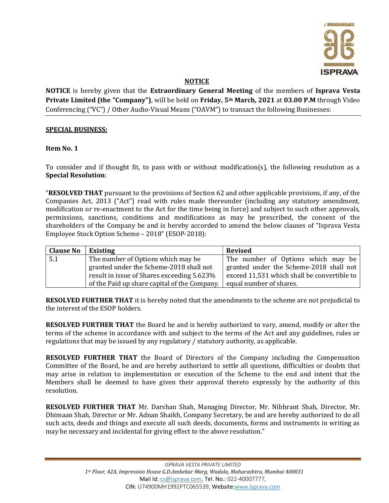

## NOTICE

NOTICE is hereby given that the Extraordinary General Meeting of the members of Isprava Vesta Private Limited (the "Company"), will be held on Friday, 5<sup>th</sup> March, 2021 at 03.00 P.M through Video Conferencing ("VC") / Other Audio-Visual Means ("OAVM") to transact the following Businesses:

### SPECIAL BUSINESS:

### Item No. 1

To consider and if thought fit, to pass with or without modification(s), the following resolution as a Special Resolution:

"RESOLVED THAT pursuant to the provisions of Section 62 and other applicable provisions, if any, of the Companies Act, 2013 ("Act") read with rules made thereunder (including any statutory amendment, modification or re-enactment to the Act for the time being in force) and subject to such other approvals, permissions, sanctions, conditions and modifications as may be prescribed, the consent of the shareholders of the Company be and is hereby accorded to amend the below clauses of "Isprava Vesta Employee Stock Option Scheme – 2018" (ESOP-2018):

| <b>Clause No</b> | Existing                                     | <b>Revised</b>                              |  |  |
|------------------|----------------------------------------------|---------------------------------------------|--|--|
| 5.1              | The number of Options which may be           | The number of Options which may be          |  |  |
|                  | granted under the Scheme-2018 shall not      | granted under the Scheme-2018 shall not     |  |  |
|                  | result in issue of Shares exceeding 5.623%   | exceed 11,531 which shall be convertible to |  |  |
|                  | of the Paid up share capital of the Company. | equal number of shares.                     |  |  |

RESOLVED FURTHER THAT it is hereby noted that the amendments to the scheme are not prejudicial to the interest of the ESOP holders.

RESOLVED FURTHER THAT the Board be and is hereby authorized to vary, amend, modify or alter the terms of the scheme in accordance with and subject to the terms of the Act and any guidelines, rules or regulations that may be issued by any regulatory / statutory authority, as applicable.

RESOLVED FURTHER THAT the Board of Directors of the Company including the Compensation Committee of the Board, be and are hereby authorized to settle all questions, difficulties or doubts that may arise in relation to implementation or execution of the Scheme to the end and intent that the Members shall be deemed to have given their approval thereto expressly by the authority of this resolution.

RESOLVED FURTHER THAT Mr. Darshan Shah, Managing Director, Mr. Nibhrant Shah, Director, Mr. Dhimaan Shah, Director or Mr. Adnan Shaikh, Company Secretary, be and are hereby authorized to do all such acts, deeds and things and execute all such deeds, documents, forms and instruments in writing as may be necessary and incidental for giving effect to the above resolution."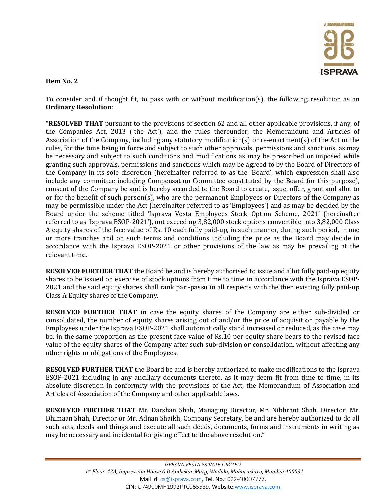

To consider and if thought fit, to pass with or without modification(s), the following resolution as an Ordinary Resolution:

"RESOLVED THAT pursuant to the provisions of section 62 and all other applicable provisions, if any, of the Companies Act, 2013 ('the Act'), and the rules thereunder, the Memorandum and Articles of Association of the Company, including any statutory modification(s) or re-enactment(s) of the Act or the rules, for the time being in force and subject to such other approvals, permissions and sanctions, as may be necessary and subject to such conditions and modifications as may be prescribed or imposed while granting such approvals, permissions and sanctions which may be agreed to by the Board of Directors of the Company in its sole discretion (hereinafter referred to as the 'Board', which expression shall also include any committee including Compensation Committee constituted by the Board for this purpose), consent of the Company be and is hereby accorded to the Board to create, issue, offer, grant and allot to or for the benefit of such person(s), who are the permanent Employees or Directors of the Company as may be permissible under the Act (hereinafter referred to as 'Employees') and as may be decided by the Board under the scheme titled 'Isprava Vesta Employees Stock Option Scheme, 2021' (hereinafter referred to as 'Isprava ESOP-2021'), not exceeding 3,82,000 stock options convertible into 3,82,000 Class A equity shares of the face value of Rs. 10 each fully paid-up, in such manner, during such period, in one or more tranches and on such terms and conditions including the price as the Board may decide in accordance with the Isprava ESOP-2021 or other provisions of the law as may be prevailing at the relevant time.

RESOLVED FURTHER THAT the Board be and is hereby authorised to issue and allot fully paid-up equity shares to be issued on exercise of stock options from time to time in accordance with the Isprava ESOP-2021 and the said equity shares shall rank pari-passu in all respects with the then existing fully paid-up Class A Equity shares of the Company.

RESOLVED FURTHER THAT in case the equity shares of the Company are either sub-divided or consolidated, the number of equity shares arising out of and/or the price of acquisition payable by the Employees under the Isprava ESOP-2021 shall automatically stand increased or reduced, as the case may be, in the same proportion as the present face value of Rs.10 per equity share bears to the revised face value of the equity shares of the Company after such sub-division or consolidation, without affecting any other rights or obligations of the Employees.

RESOLVED FURTHER THAT the Board be and is hereby authorized to make modifications to the Isprava ESOP-2021 including in any ancillary documents thereto, as it may deem fit from time to time, in its absolute discretion in conformity with the provisions of the Act, the Memorandum of Association and Articles of Association of the Company and other applicable laws.

RESOLVED FURTHER THAT Mr. Darshan Shah, Managing Director, Mr. Nibhrant Shah, Director, Mr. Dhimaan Shah, Director or Mr. Adnan Shaikh, Company Secretary, be and are hereby authorized to do all such acts, deeds and things and execute all such deeds, documents, forms and instruments in writing as may be necessary and incidental for giving effect to the above resolution."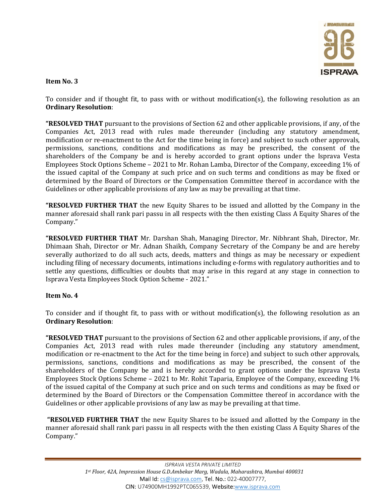

To consider and if thought fit, to pass with or without modification(s), the following resolution as an Ordinary Resolution:

"RESOLVED THAT pursuant to the provisions of Section 62 and other applicable provisions, if any, of the Companies Act, 2013 read with rules made thereunder (including any statutory amendment, modification or re-enactment to the Act for the time being in force) and subject to such other approvals, permissions, sanctions, conditions and modifications as may be prescribed, the consent of the shareholders of the Company be and is hereby accorded to grant options under the Isprava Vesta Employees Stock Options Scheme – 2021 to Mr. Rohan Lamba, Director of the Company, exceeding 1% of the issued capital of the Company at such price and on such terms and conditions as may be fixed or determined by the Board of Directors or the Compensation Committee thereof in accordance with the Guidelines or other applicable provisions of any law as may be prevailing at that time.

"RESOLVED FURTHER THAT the new Equity Shares to be issued and allotted by the Company in the manner aforesaid shall rank pari passu in all respects with the then existing Class A Equity Shares of the Company."

"RESOLVED FURTHER THAT Mr. Darshan Shah, Managing Director, Mr. Nibhrant Shah, Director, Mr. Dhimaan Shah, Director or Mr. Adnan Shaikh, Company Secretary of the Company be and are hereby severally authorized to do all such acts, deeds, matters and things as may be necessary or expedient including filing of necessary documents, intimations including e-forms with regulatory authorities and to settle any questions, difficulties or doubts that may arise in this regard at any stage in connection to Isprava Vesta Employees Stock Option Scheme - 2021."

### Item No. 4

To consider and if thought fit, to pass with or without modification(s), the following resolution as an Ordinary Resolution:

**"RESOLVED THAT** pursuant to the provisions of Section 62 and other applicable provisions, if any, of the Companies Act, 2013 read with rules made thereunder (including any statutory amendment, modification or re-enactment to the Act for the time being in force) and subject to such other approvals, permissions, sanctions, conditions and modifications as may be prescribed, the consent of the shareholders of the Company be and is hereby accorded to grant options under the Isprava Vesta Employees Stock Options Scheme – 2021 to Mr. Rohit Taparia, Employee of the Company, exceeding 1% of the issued capital of the Company at such price and on such terms and conditions as may be fixed or determined by the Board of Directors or the Compensation Committee thereof in accordance with the Guidelines or other applicable provisions of any law as may be prevailing at that time.

 "RESOLVED FURTHER THAT the new Equity Shares to be issued and allotted by the Company in the manner aforesaid shall rank pari passu in all respects with the then existing Class A Equity Shares of the Company."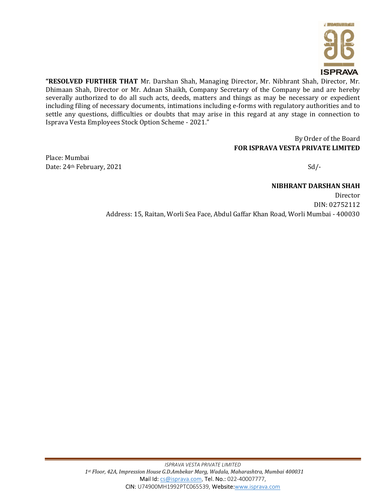

"RESOLVED FURTHER THAT Mr. Darshan Shah, Managing Director, Mr. Nibhrant Shah, Director, Mr. Dhimaan Shah, Director or Mr. Adnan Shaikh, Company Secretary of the Company be and are hereby severally authorized to do all such acts, deeds, matters and things as may be necessary or expedient including filing of necessary documents, intimations including e-forms with regulatory authorities and to settle any questions, difficulties or doubts that may arise in this regard at any stage in connection to Isprava Vesta Employees Stock Option Scheme - 2021."

# By Order of the Board FOR ISPRAVA VESTA PRIVATE LIMITED

Place: Mumbai Date: 24<sup>th</sup> February, 2021 Sd/-

NIBHRANT DARSHAN SHAH Director DIN: 02752112 Address: 15, Raitan, Worli Sea Face, Abdul Gaffar Khan Road, Worli Mumbai - 400030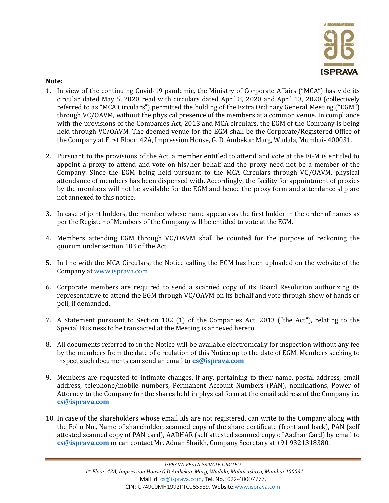

## Note:

- 1. In view of the continuing Covid-19 pandemic, the Ministry of Corporate Affairs ("MCA") has vide its circular dated May 5, 2020 read with circulars dated April 8, 2020 and April 13, 2020 (collectively referred to as "MCA Circulars") permitted the holding of the Extra Ordinary General Meeting ("EGM") through VC/OAVM, without the physical presence of the members at a common venue. In compliance with the provisions of the Companies Act, 2013 and MCA circulars, the EGM of the Company is being held through VC/OAVM. The deemed venue for the EGM shall be the Corporate/Registered Office of the Company at First Floor, 42A, Impression House, G. D. Ambekar Marg, Wadala, Mumbai- 400031.
- 2. Pursuant to the provisions of the Act, a member entitled to attend and vote at the EGM is entitled to appoint a proxy to attend and vote on his/her behalf and the proxy need not be a member of the Company. Since the EGM being held pursuant to the MCA Circulars through VC/OAVM, physical attendance of members has been dispensed with. Accordingly, the facility for appointment of proxies by the members will not be available for the EGM and hence the proxy form and attendance slip are not annexed to this notice.
- 3. In case of joint holders, the member whose name appears as the first holder in the order of names as per the Register of Members of the Company will be entitled to vote at the EGM.
- 4. Members attending EGM through VC/OAVM shall be counted for the purpose of reckoning the quorum under section 103 of the Act.
- 5. In line with the MCA Circulars, the Notice calling the EGM has been uploaded on the website of the Company at www.isprava.com
- 6. Corporate members are required to send a scanned copy of its Board Resolution authorizing its representative to attend the EGM through VC/OAVM on its behalf and vote through show of hands or poll, if demanded.
- 7. A Statement pursuant to Section 102 (1) of the Companies Act, 2013 ("the Act"), relating to the Special Business to be transacted at the Meeting is annexed hereto.
- 8. All documents referred to in the Notice will be available electronically for inspection without any fee by the members from the date of circulation of this Notice up to the date of EGM. Members seeking to inspect such documents can send an email to **cs@isprava.com**
- 9. Members are requested to intimate changes, if any, pertaining to their name, postal address, email address, telephone/mobile numbers, Permanent Account Numbers (PAN), nominations, Power of Attorney to the Company for the shares held in physical form at the email address of the Company i.e. cs@isprava.com
- 10. In case of the shareholders whose email ids are not registered, can write to the Company along with the Folio No., Name of shareholder, scanned copy of the share certificate (front and back), PAN (self attested scanned copy of PAN card), AADHAR (self attested scanned copy of Aadhar Card) by email to cs@isprava.com or can contact Mr. Adnan Shaikh, Company Secretary at +91 9321318380.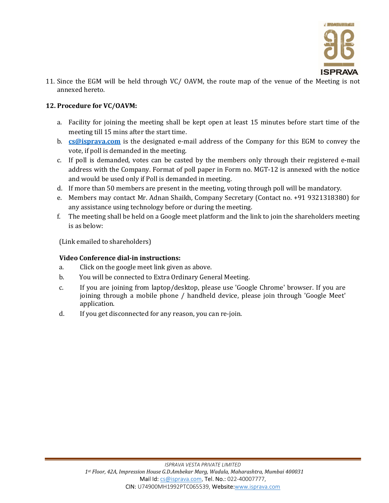

11. Since the EGM will be held through VC/ OAVM, the route map of the venue of the Meeting is not annexed hereto.

# 12. Procedure for VC/OAVM:

- a. Facility for joining the meeting shall be kept open at least 15 minutes before start time of the meeting till 15 mins after the start time.
- b.  $\frac{\text{cs@isprava.com}}{\text{cs@isprava.com}}$  is the designated e-mail address of the Company for this EGM to convey the vote, if poll is demanded in the meeting.
- c. If poll is demanded, votes can be casted by the members only through their registered e-mail address with the Company. Format of poll paper in Form no. MGT-12 is annexed with the notice and would be used only if Poll is demanded in meeting.
- d. If more than 50 members are present in the meeting, voting through poll will be mandatory.
- e. Members may contact Mr. Adnan Shaikh, Company Secretary (Contact no. +91 9321318380) for any assistance using technology before or during the meeting.
- f. The meeting shall be held on a Google meet platform and the link to join the shareholders meeting is as below:

(Link emailed to shareholders)

# Video Conference dial-in instructions:

- a. Click on the google meet link given as above.
- b. You will be connected to Extra Ordinary General Meeting.
- c. If you are joining from laptop/desktop, please use 'Google Chrome' browser. If you are joining through a mobile phone / handheld device, please join through 'Google Meet' application.
- d. If you get disconnected for any reason, you can re-join.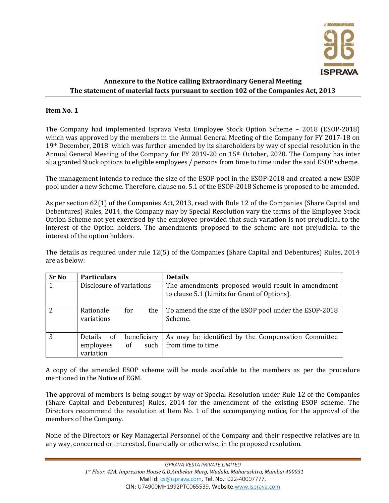

# Annexure to the Notice calling Extraordinary General Meeting The statement of material facts pursuant to section 102 of the Companies Act, 2013

# Item No. 1

The Company had implemented Isprava Vesta Employee Stock Option Scheme – 2018 (ESOP-2018) which was approved by the members in the Annual General Meeting of the Company for FY 2017-18 on 19<sup>th</sup> December, 2018 which was further amended by its shareholders by way of special resolution in the Annual General Meeting of the Company for FY 2019-20 on 15th October, 2020. The Company has inter alia granted Stock options to eligible employees / persons from time to time under the said ESOP scheme.

The management intends to reduce the size of the ESOP pool in the ESOP-2018 and created a new ESOP pool under a new Scheme. Therefore, clause no. 5.1 of the ESOP-2018 Scheme is proposed to be amended.

As per section 62(1) of the Companies Act, 2013, read with Rule 12 of the Companies (Share Capital and Debentures) Rules, 2014, the Company may by Special Resolution vary the terms of the Employee Stock Option Scheme not yet exercised by the employee provided that such variation is not prejudicial to the interest of the Option holders. The amendments proposed to the scheme are not prejudicial to the interest of the option holders.

The details as required under rule 12(5) of the Companies (Share Capital and Debentures) Rules, 2014 are as below:

| <b>Sr No</b> | <b>Particulars</b>                                                | <b>Details</b>                                                                                    |  |  |
|--------------|-------------------------------------------------------------------|---------------------------------------------------------------------------------------------------|--|--|
|              | Disclosure of variations                                          | The amendments proposed would result in amendment<br>to clause 5.1 (Limits for Grant of Options). |  |  |
|              | for<br>Rationale<br>the<br>variations                             | To amend the size of the ESOP pool under the ESOP-2018<br>Scheme.                                 |  |  |
| 3            | beneficiary<br>Details of<br>employees<br>such<br>of<br>variation | As may be identified by the Compensation Committee<br>from time to time.                          |  |  |

A copy of the amended ESOP scheme will be made available to the members as per the procedure mentioned in the Notice of EGM.

The approval of members is being sought by way of Special Resolution under Rule 12 of the Companies (Share Capital and Debentures) Rules, 2014 for the amendment of the existing ESOP scheme. The Directors recommend the resolution at Item No. 1 of the accompanying notice, for the approval of the members of the Company.

None of the Directors or Key Managerial Personnel of the Company and their respective relatives are in any way, concerned or interested, financially or otherwise, in the proposed resolution.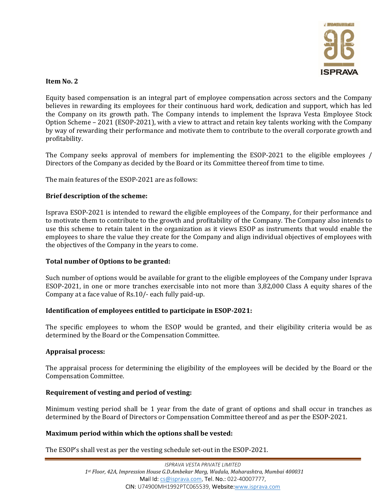

Equity based compensation is an integral part of employee compensation across sectors and the Company believes in rewarding its employees for their continuous hard work, dedication and support, which has led the Company on its growth path. The Company intends to implement the Isprava Vesta Employee Stock Option Scheme – 2021 (ESOP-2021), with a view to attract and retain key talents working with the Company by way of rewarding their performance and motivate them to contribute to the overall corporate growth and profitability.

The Company seeks approval of members for implementing the ESOP-2021 to the eligible employees / Directors of the Company as decided by the Board or its Committee thereof from time to time.

The main features of the ESOP-2021 are as follows:

## Brief description of the scheme:

Isprava ESOP-2021 is intended to reward the eligible employees of the Company, for their performance and to motivate them to contribute to the growth and profitability of the Company. The Company also intends to use this scheme to retain talent in the organization as it views ESOP as instruments that would enable the employees to share the value they create for the Company and align individual objectives of employees with the objectives of the Company in the years to come.

### Total number of Options to be granted:

Such number of options would be available for grant to the eligible employees of the Company under Isprava ESOP-2021, in one or more tranches exercisable into not more than 3,82,000 Class A equity shares of the Company at a face value of Rs.10/- each fully paid-up.

### Identification of employees entitled to participate in ESOP-2021:

The specific employees to whom the ESOP would be granted, and their eligibility criteria would be as determined by the Board or the Compensation Committee.

### Appraisal process:

The appraisal process for determining the eligibility of the employees will be decided by the Board or the Compensation Committee.

# Requirement of vesting and period of vesting:

Minimum vesting period shall be 1 year from the date of grant of options and shall occur in tranches as determined by the Board of Directors or Compensation Committee thereof and as per the ESOP-2021.

### Maximum period within which the options shall be vested:

The ESOP's shall vest as per the vesting schedule set-out in the ESOP-2021.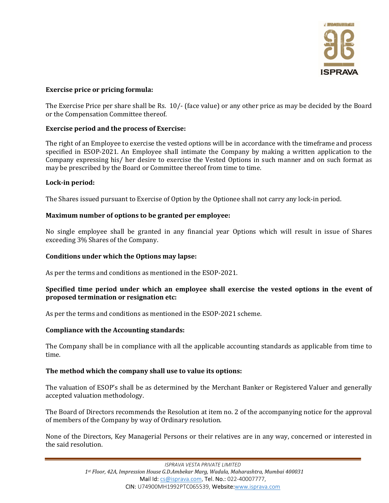

### Exercise price or pricing formula:

The Exercise Price per share shall be Rs. 10/- (face value) or any other price as may be decided by the Board or the Compensation Committee thereof.

### Exercise period and the process of Exercise:

The right of an Employee to exercise the vested options will be in accordance with the timeframe and process specified in ESOP-2021. An Employee shall intimate the Company by making a written application to the Company expressing his/ her desire to exercise the Vested Options in such manner and on such format as may be prescribed by the Board or Committee thereof from time to time.

### Lock-in period:

The Shares issued pursuant to Exercise of Option by the Optionee shall not carry any lock-in period.

### Maximum number of options to be granted per employee:

No single employee shall be granted in any financial year Options which will result in issue of Shares exceeding 3% Shares of the Company.

#### Conditions under which the Options may lapse:

As per the terms and conditions as mentioned in the ESOP-2021.

### Specified time period under which an employee shall exercise the vested options in the event of proposed termination or resignation etc:

As per the terms and conditions as mentioned in the ESOP-2021 scheme.

#### Compliance with the Accounting standards:

The Company shall be in compliance with all the applicable accounting standards as applicable from time to time.

#### The method which the company shall use to value its options:

The valuation of ESOP's shall be as determined by the Merchant Banker or Registered Valuer and generally accepted valuation methodology.

The Board of Directors recommends the Resolution at item no. 2 of the accompanying notice for the approval of members of the Company by way of Ordinary resolution.

None of the Directors, Key Managerial Persons or their relatives are in any way, concerned or interested in the said resolution.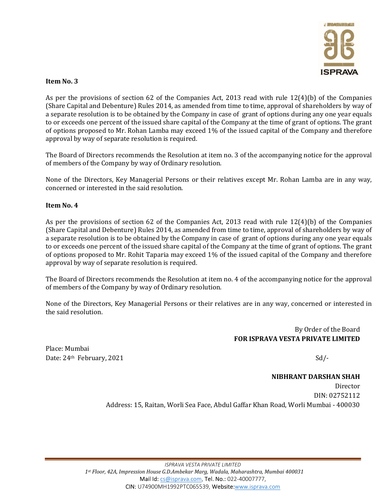

As per the provisions of section 62 of the Companies Act, 2013 read with rule 12(4)(b) of the Companies (Share Capital and Debenture) Rules 2014, as amended from time to time, approval of shareholders by way of a separate resolution is to be obtained by the Company in case of grant of options during any one year equals to or exceeds one percent of the issued share capital of the Company at the time of grant of options. The grant of options proposed to Mr. Rohan Lamba may exceed 1% of the issued capital of the Company and therefore approval by way of separate resolution is required.

The Board of Directors recommends the Resolution at item no. 3 of the accompanying notice for the approval of members of the Company by way of Ordinary resolution.

None of the Directors, Key Managerial Persons or their relatives except Mr. Rohan Lamba are in any way, concerned or interested in the said resolution.

### Item No. 4

As per the provisions of section 62 of the Companies Act, 2013 read with rule 12(4)(b) of the Companies (Share Capital and Debenture) Rules 2014, as amended from time to time, approval of shareholders by way of a separate resolution is to be obtained by the Company in case of grant of options during any one year equals to or exceeds one percent of the issued share capital of the Company at the time of grant of options. The grant of options proposed to Mr. Rohit Taparia may exceed 1% of the issued capital of the Company and therefore approval by way of separate resolution is required.

The Board of Directors recommends the Resolution at item no. 4 of the accompanying notice for the approval of members of the Company by way of Ordinary resolution.

None of the Directors, Key Managerial Persons or their relatives are in any way, concerned or interested in the said resolution.

> By Order of the Board FOR ISPRAVA VESTA PRIVATE LIMITED

Place: Mumbai Date: 24<sup>th</sup> February, 2021 Sd/-

NIBHRANT DARSHAN SHAH Director DIN: 02752112 Address: 15, Raitan, Worli Sea Face, Abdul Gaffar Khan Road, Worli Mumbai - 400030